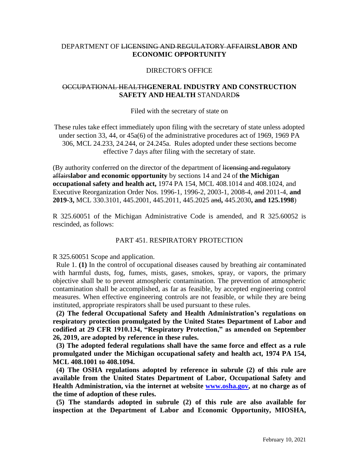# DEPARTMENT OF LICENSING AND REGULATORY AFFAIRS**LABOR AND ECONOMIC OPPORTUNITY**

### DIRECTOR'S OFFICE

# OCCUPATIONAL HEALTH**GENERAL INDUSTRY AND CONSTRUCTION SAFETY AND HEALTH** STANDARDS

### Filed with the secretary of state on

These rules take effect immediately upon filing with the secretary of state unless adopted under section 33, 44, or 45a(6) of the administrative procedures act of 1969, 1969 PA 306, MCL 24.233, 24.244, or 24.245a. Rules adopted under these sections become effective 7 days after filing with the secretary of state.

(By authority conferred on the director of the department of licensing and regulatory affairs**labor and economic opportunity** by sections 14 and 24 of **the Michigan occupational safety and health act,** 1974 PA 154, MCL 408.1014 and 408.1024, and Executive Reorganization Order Nos. 1996-1, 1996-2, 2003-1, 2008-4, and 2011-4, **and 2019-3,** MCL 330.3101, 445.2001, 445.2011, 445.2025 and**,** 445.2030**, and 125.1998**)

R 325.60051 of the Michigan Administrative Code is amended, and R 325.60052 is rescinded, as follows:

## PART 451. RESPIRATORY PROTECTION

R 325.60051 Scope and application.

 Rule 1. **(1)** In the control of occupational diseases caused by breathing air contaminated with harmful dusts, fog, fumes, mists, gases, smokes, spray, or vapors, the primary objective shall be to prevent atmospheric contamination. The prevention of atmospheric contamination shall be accomplished, as far as feasible, by accepted engineering control measures. When effective engineering controls are not feasible, or while they are being instituted, appropriate respirators shall be used pursuant to these rules.

 **(2) The federal Occupational Safety and Health Administration's regulations on respiratory protection promulgated by the United States Department of Labor and codified at 29 CFR 1910.134, "Respiratory Protection," as amended on September 26, 2019, are adopted by reference in these rules.** 

 **(3) The adopted federal regulations shall have the same force and effect as a rule promulgated under the Michigan occupational safety and health act, 1974 PA 154, MCL 408.1001 to 408.1094.** 

 **(4) The OSHA regulations adopted by reference in subrule (2) of this rule are available from the United States Department of Labor, Occupational Safety and Health Administration, via the internet at website [www.osha.gov,](http://www.osha.gov/) at no charge as of the time of adoption of these rules.** 

 **(5) The standards adopted in subrule (2) of this rule are also available for inspection at the Department of Labor and Economic Opportunity, MIOSHA,**